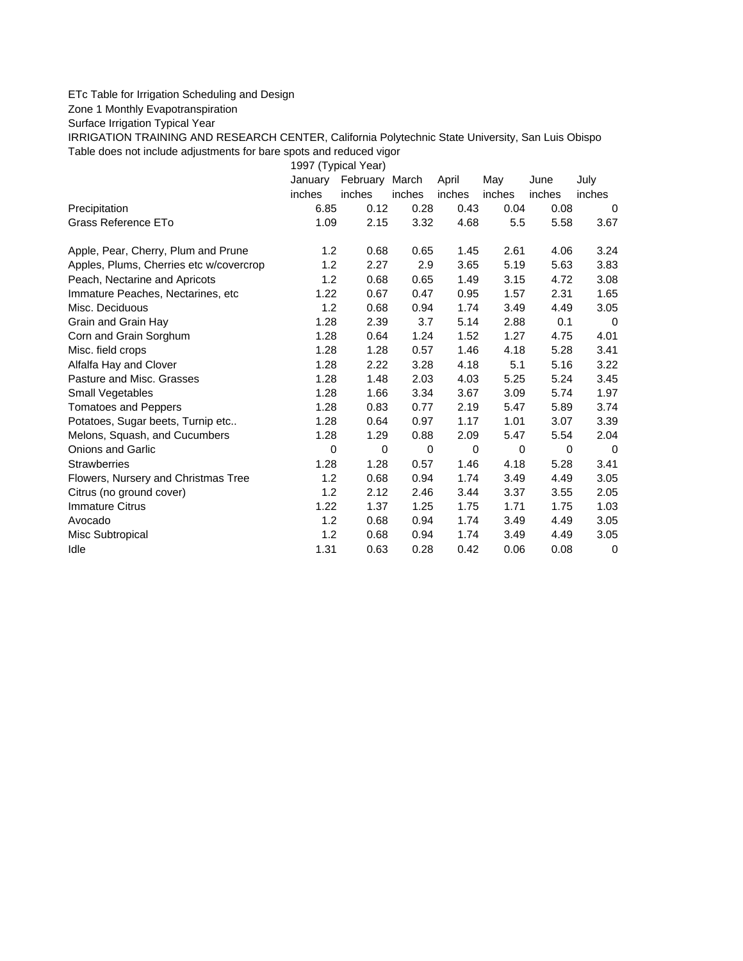## ETc Table for Irrigation Scheduling and Design

Zone 1 Monthly Evapotranspiration

Surface Irrigation Typical Year

IRRIGATION TRAINING AND RESEARCH CENTER, California Polytechnic State University, San Luis Obispo Table does not include adjustments for bare spots and reduced vigor

1997 (Typical Year)

|                                         | January | February | March  | April  | May    | June   | July     |
|-----------------------------------------|---------|----------|--------|--------|--------|--------|----------|
|                                         | inches  | inches   | inches | inches | inches | inches | inches   |
| Precipitation                           | 6.85    | 0.12     | 0.28   | 0.43   | 0.04   | 0.08   | 0        |
| Grass Reference ETo                     | 1.09    | 2.15     | 3.32   | 4.68   | 5.5    | 5.58   | 3.67     |
| Apple, Pear, Cherry, Plum and Prune     | 1.2     | 0.68     | 0.65   | 1.45   | 2.61   | 4.06   | 3.24     |
| Apples, Plums, Cherries etc w/covercrop | 1.2     | 2.27     | 2.9    | 3.65   | 5.19   | 5.63   | 3.83     |
| Peach, Nectarine and Apricots           | 1.2     | 0.68     | 0.65   | 1.49   | 3.15   | 4.72   | 3.08     |
| Immature Peaches, Nectarines, etc.      | 1.22    | 0.67     | 0.47   | 0.95   | 1.57   | 2.31   | 1.65     |
| Misc. Deciduous                         | 1.2     | 0.68     | 0.94   | 1.74   | 3.49   | 4.49   | 3.05     |
| Grain and Grain Hay                     | 1.28    | 2.39     | 3.7    | 5.14   | 2.88   | 0.1    | $\Omega$ |
| Corn and Grain Sorghum                  | 1.28    | 0.64     | 1.24   | 1.52   | 1.27   | 4.75   | 4.01     |
| Misc. field crops                       | 1.28    | 1.28     | 0.57   | 1.46   | 4.18   | 5.28   | 3.41     |
| Alfalfa Hay and Clover                  | 1.28    | 2.22     | 3.28   | 4.18   | 5.1    | 5.16   | 3.22     |
| Pasture and Misc. Grasses               | 1.28    | 1.48     | 2.03   | 4.03   | 5.25   | 5.24   | 3.45     |
| Small Vegetables                        | 1.28    | 1.66     | 3.34   | 3.67   | 3.09   | 5.74   | 1.97     |
| <b>Tomatoes and Peppers</b>             | 1.28    | 0.83     | 0.77   | 2.19   | 5.47   | 5.89   | 3.74     |
| Potatoes, Sugar beets, Turnip etc       | 1.28    | 0.64     | 0.97   | 1.17   | 1.01   | 3.07   | 3.39     |
| Melons, Squash, and Cucumbers           | 1.28    | 1.29     | 0.88   | 2.09   | 5.47   | 5.54   | 2.04     |
| <b>Onions and Garlic</b>                | 0       | 0        | 0      | 0      | 0      | 0      | 0        |
| <b>Strawberries</b>                     | 1.28    | 1.28     | 0.57   | 1.46   | 4.18   | 5.28   | 3.41     |
| Flowers, Nursery and Christmas Tree     | 1.2     | 0.68     | 0.94   | 1.74   | 3.49   | 4.49   | 3.05     |
| Citrus (no ground cover)                | 1.2     | 2.12     | 2.46   | 3.44   | 3.37   | 3.55   | 2.05     |
| <b>Immature Citrus</b>                  | 1.22    | 1.37     | 1.25   | 1.75   | 1.71   | 1.75   | 1.03     |
| Avocado                                 | 1.2     | 0.68     | 0.94   | 1.74   | 3.49   | 4.49   | 3.05     |
| Misc Subtropical                        | 1.2     | 0.68     | 0.94   | 1.74   | 3.49   | 4.49   | 3.05     |
| Idle                                    | 1.31    | 0.63     | 0.28   | 0.42   | 0.06   | 0.08   | 0        |